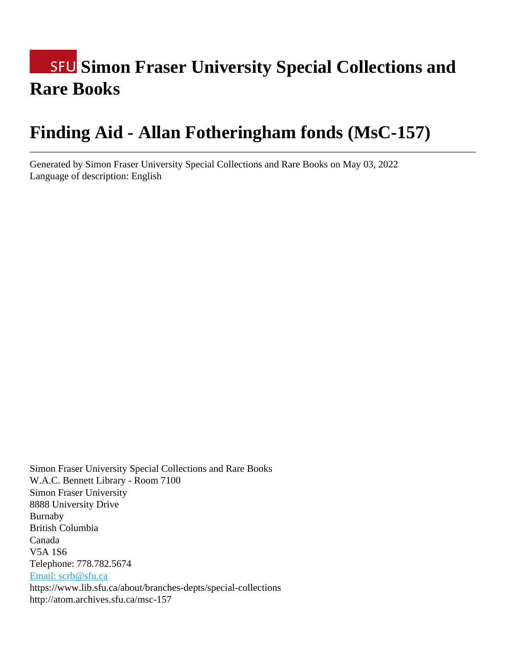# **SFU Simon Fraser University Special Collections and Rare Books**

# **Finding Aid - Allan Fotheringham fonds (MsC-157)**

Generated by Simon Fraser University Special Collections and Rare Books on May 03, 2022 Language of description: English

Simon Fraser University Special Collections and Rare Books W.A.C. Bennett Library - Room 7100 Simon Fraser University 8888 University Drive Burnaby British Columbia Canada V5A 1S6 Telephone: 778.782.5674 [Email: scrb@sfu.ca](mailto:Email: scrb@sfu.ca) https://www.lib.sfu.ca/about/branches-depts/special-collections http://atom.archives.sfu.ca/msc-157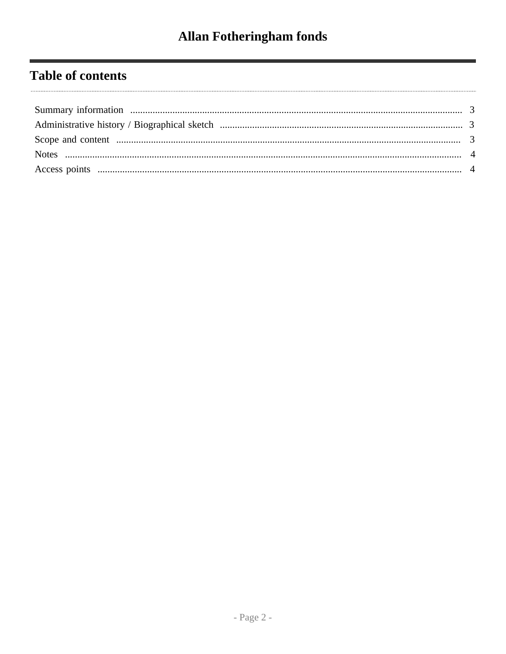# **Table of contents**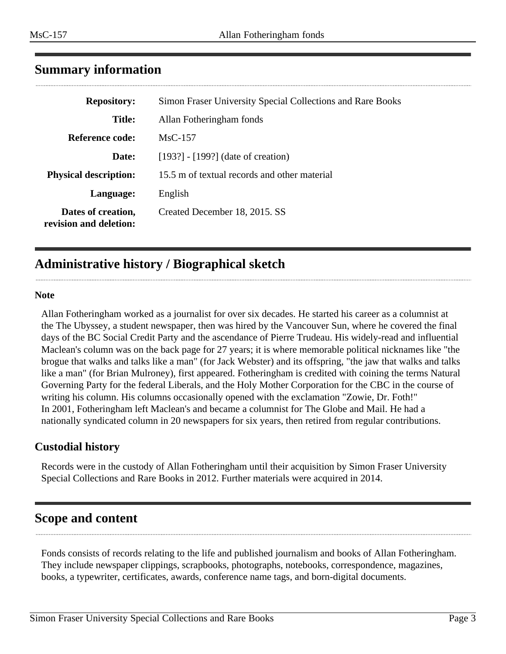<span id="page-2-0"></span>

| <b>Repository:</b>                           | Simon Fraser University Special Collections and Rare Books |
|----------------------------------------------|------------------------------------------------------------|
| Title:                                       | Allan Fotheringham fonds                                   |
| Reference code:                              | $MsC-157$                                                  |
| Date:                                        | $[193?]$ - $[199?]$ (date of creation)                     |
| <b>Physical description:</b>                 | 15.5 m of textual records and other material               |
| Language:                                    | English                                                    |
| Dates of creation,<br>revision and deletion: | Created December 18, 2015. SS                              |

## <span id="page-2-1"></span>**Administrative history / Biographical sketch**

#### **Note**

Allan Fotheringham worked as a journalist for over six decades. He started his career as a columnist at the The Ubyssey, a student newspaper, then was hired by the Vancouver Sun, where he covered the final days of the BC Social Credit Party and the ascendance of Pierre Trudeau. His widely-read and influential Maclean's column was on the back page for 27 years; it is where memorable political nicknames like "the brogue that walks and talks like a man" (for Jack Webster) and its offspring, "the jaw that walks and talks like a man" (for Brian Mulroney), first appeared. Fotheringham is credited with coining the terms Natural Governing Party for the federal Liberals, and the Holy Mother Corporation for the CBC in the course of writing his column. His columns occasionally opened with the exclamation "Zowie, Dr. Foth!" In 2001, Fotheringham left Maclean's and became a columnist for The Globe and Mail. He had a nationally syndicated column in 20 newspapers for six years, then retired from regular contributions.

## **Custodial history**

Records were in the custody of Allan Fotheringham until their acquisition by Simon Fraser University Special Collections and Rare Books in 2012. Further materials were acquired in 2014.

## <span id="page-2-2"></span>**Scope and content**

Fonds consists of records relating to the life and published journalism and books of Allan Fotheringham. They include newspaper clippings, scrapbooks, photographs, notebooks, correspondence, magazines, books, a typewriter, certificates, awards, conference name tags, and born-digital documents.